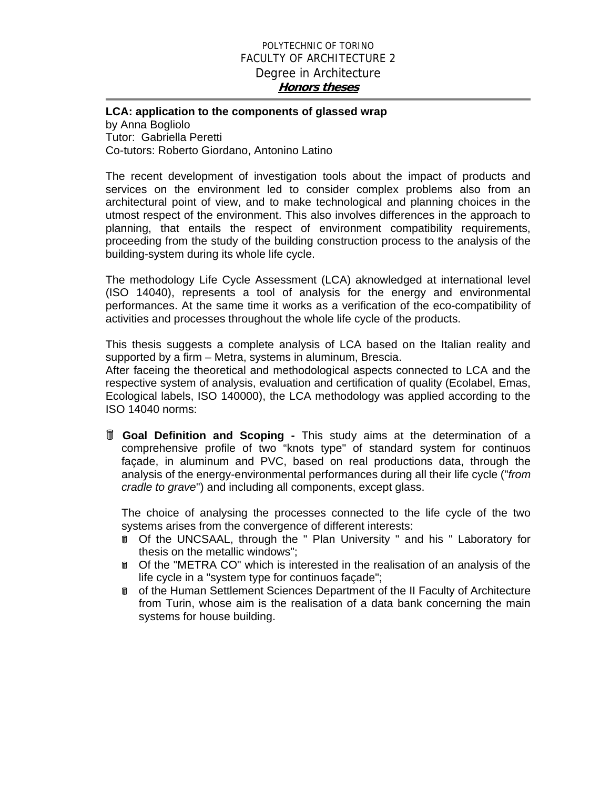## POLYTECHNIC OF TORINO FACULTY OF ARCHITECTURE 2 Degree in Architecture **Honors theses**

## **LCA: application to the components of glassed wrap**  by Anna Bogliolo Tutor: Gabriella Peretti

Co-tutors: Roberto Giordano, Antonino Latino

The recent development of investigation tools about the impact of products and services on the environment led to consider complex problems also from an architectural point of view, and to make technological and planning choices in the utmost respect of the environment. This also involves differences in the approach to planning, that entails the respect of environment compatibility requirements, proceeding from the study of the building construction process to the analysis of the building-system during its whole life cycle.

The methodology Life Cycle Assessment (LCA) aknowledged at international level (ISO 14040), represents a tool of analysis for the energy and environmental performances. At the same time it works as a verification of the eco-compatibility of activities and processes throughout the whole life cycle of the products.

This thesis suggests a complete analysis of LCA based on the Italian reality and supported by a firm – Metra, systems in aluminum, Brescia.

After faceing the theoretical and methodological aspects connected to LCA and the respective system of analysis, evaluation and certification of quality (Ecolabel, Emas, Ecological labels, ISO 140000), the LCA methodology was applied according to the ISO 14040 norms:

 **Goal Definition and Scoping -** This study aims at the determination of a comprehensive profile of two "knots type" of standard system for continuos façade, in aluminum and PVC, based on real productions data, through the analysis of the energy-environmental performances during all their life cycle ("*from cradle to grave*") and including all components, except glass.

The choice of analysing the processes connected to the life cycle of the two systems arises from the convergence of different interests:

- **T** Of the UNCSAAL, through the " Plan University " and his " Laboratory for thesis on the metallic windows";
- **T** Of the "METRA CO" which is interested in the realisation of an analysis of the life cycle in a "system type for continuos façade";
- of the Human Settlement Sciences Department of the II Faculty of Architecture from Turin, whose aim is the realisation of a data bank concerning the main systems for house building.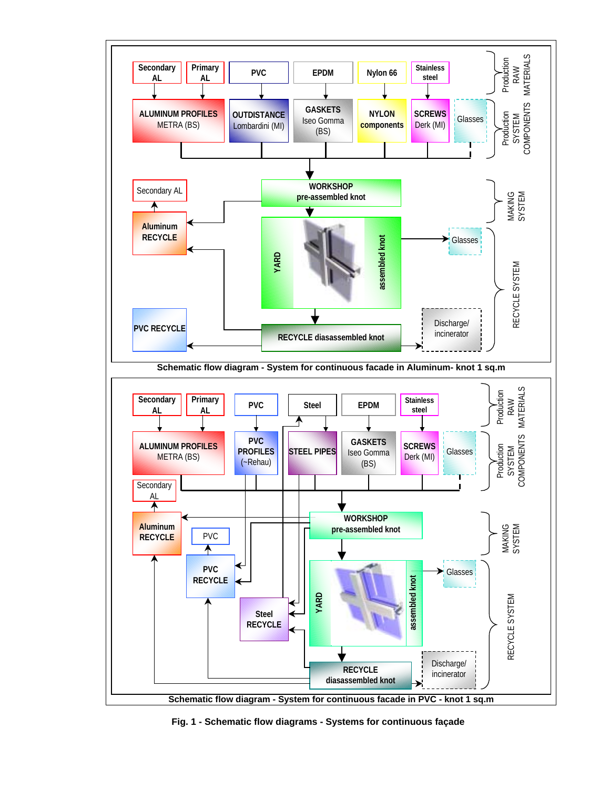

**Fig. 1 - Schematic flow diagrams - Systems for continuous façade**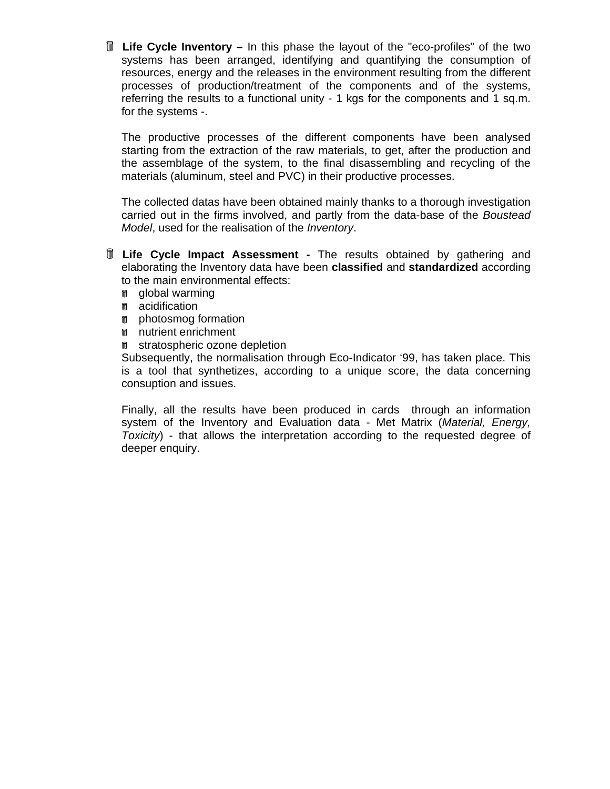**Life Cycle Inventory –** In this phase the layout of the "eco-profiles" of the two systems has been arranged, identifying and quantifying the consumption of resources, energy and the releases in the environment resulting from the different processes of production/treatment of the components and of the systems, referring the results to a functional unity - 1 kgs for the components and 1 sq.m. for the systems -.

The productive processes of the different components have been analysed starting from the extraction of the raw materials, to get, after the production and the assemblage of the system, to the final disassembling and recycling of the materials (aluminum, steel and PVC) in their productive processes.

The collected datas have been obtained mainly thanks to a thorough investigation carried out in the firms involved, and partly from the data-base of the *Boustead Model*, used for the realisation of the *Inventory*.

- **Life Cycle Impact Assessment** The results obtained by gathering and elaborating the Inventory data have been **classified** and **standardized** according to the main environmental effects:
	- **g** global warming
	- **a** acidification
	- **n** photosmog formation
	- **n** nutrient enrichment
	- f stratospheric ozone depletion

Subsequently, the normalisation through Eco-Indicator '99, has taken place. This is a tool that synthetizes, according to a unique score, the data concerning consuption and issues.

Finally, all the results have been produced in cards through an information system of the Inventory and Evaluation data - Met Matrix (*Material, Energy, Toxicity*) - that allows the interpretation according to the requested degree of deeper enquiry.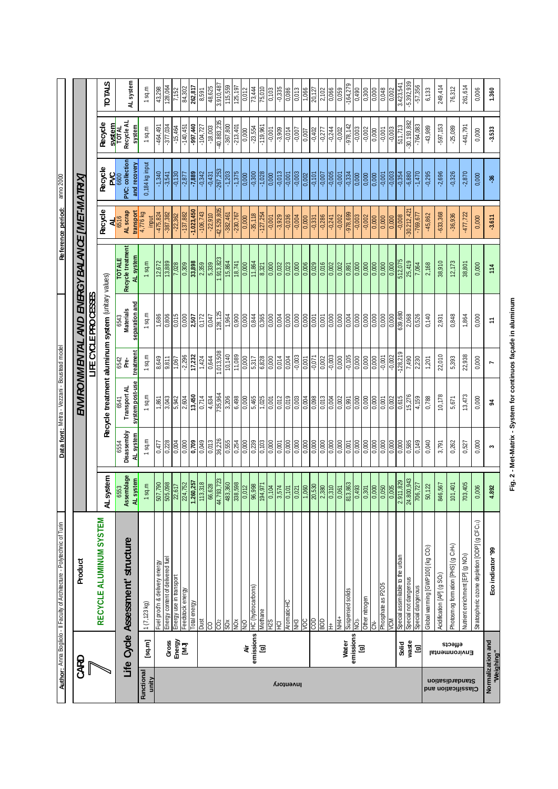Fig. 2 - Met-Matrix - System for continuos façade in aluminum **Fig. 2 - Met-Matrix - System for continuos façade in aluminum** 

|                                                    |                             | Author: Anna Bogliolo - Il Faculty of Architecture - Polytechnic of Turin |                                   |                          | Data font: Meta - Vezzani - Boustead model |                    |                                  |                                     | Reference period:                      | anno 2000                         |                               |                    |
|----------------------------------------------------|-----------------------------|---------------------------------------------------------------------------|-----------------------------------|--------------------------|--------------------------------------------|--------------------|----------------------------------|-------------------------------------|----------------------------------------|-----------------------------------|-------------------------------|--------------------|
|                                                    |                             |                                                                           |                                   |                          |                                            |                    |                                  |                                     |                                        |                                   |                               |                    |
| U                                                  | <b>GARD</b>                 | <b>Product</b>                                                            |                                   |                          | <b>ENVIRON</b>                             | <b>MENTAN</b>      | <b>AND</b>                       | ENERGY                              | <b>BALANCE [MET-MATRX]</b>             |                                   |                               |                    |
|                                                    |                             |                                                                           |                                   |                          |                                            |                    | <b>JIE CYCLE PROCESSES</b>       |                                     |                                        |                                   |                               |                    |
|                                                    |                             | RECYCLE ALUMINUM SYSTEM                                                   | AL system                         |                          | Recycle treatment                          |                    | aluminum system (unitary values) |                                     | Recycle                                | Recycle                           | Recycle                       | <b>STALOL</b>      |
| ufe                                                | <b>Cycle</b>                | Assessment' structure                                                     | Assemblage<br>6553                | Disassembly<br>6554      | Transport AL<br>6541                       | 6542<br>Pre-       | <b>Materials</b><br>6543         | Recycle treatment<br><b>TOTALE</b>  | AL scrap<br>$\frac{\mathbf{A}}{6516}$  | PVC: collection<br><b>NSS</b>     | Recycle AL<br>SVStem<br>TOTAL |                    |
|                                                    |                             |                                                                           | AL system                         | <u>AL system</u>         | system post-use                            | treatment          | separation and                   | AL system                           | transport<br>4,776 kg                  | and recovery                      | system                        | AL system          |
| Functiona<br>unity                                 | $[sq.m]$                    | 1(7, 123 kg)                                                              | $1$ sq.m                          | $1$ sq.m                 | $1$ sq.m                                   | $1$ sq.m           | $1$ sq.m                         | sq.m                                | input                                  | 0,184 kg input                    | $1$ sq.m                      | $1$ sq.m           |
|                                                    |                             | <u>Fuel prod'n &amp; delivery energy</u>                                  | 507,790                           | 0,477                    | 1,861                                      | 8,649              | 1,686                            | 12,672                              | $-475,824$                             | $-1,340$                          | $-464,491$                    | 43,298             |
|                                                    | Gross                       | Energy content of delivered fuel                                          | 505,098                           | 0,228                    | 3,043                                      | 9,811              | $\frac{1}{0.806}$                | 13,889                              | $-387,382$                             | $-3,541$                          | $-377,034$                    | 128,064            |
|                                                    | Energy<br>[MJ]              | Energy use in transport                                                   | 22,617                            | 0,004                    | 5,942                                      | 1,067              | 0,015                            | 7,028                               | $-22,362$                              | $-0,130$                          | $-15,464$                     | 7,152              |
|                                                    |                             | Feedstock energy                                                          | 224,752                           | 0,000                    | 2,604                                      | $-2,296$<br>17,232 | 0,000                            | 0,309                               | $-1.023,450$<br>$-137,882$             | $\frac{-2.877}{-7.889}$           | $-140,451$                    | 84,302             |
|                                                    |                             | Total energy<br>Dust                                                      | $1.\overline{260,257}$<br>113,318 | 0,709<br>0,049           | 13,450<br>0,714                            | 1,424              | $\frac{2,507}{ }$<br>0,172       | 33,898<br>2,359                     | $-106,743$                             | $-0.342$                          | $-997,440$<br>$-104,727$      | 262,817<br>8,591   |
|                                                    |                             | S                                                                         | 66,628                            | 0,013                    | 4,634                                      | 0,644              | 0,047                            | 5,339                               | $-22,910$                              | $-0,431$                          | $-18,003$                     | 48,625             |
|                                                    |                             | ĉ                                                                         | 44.793,723                        | 36,226                   | 735,964                                    | 1.013,508          | 128,125                          | 1.913,823                           | -42.529,805                            | $-267,253$                        | $-40.883,235$                 | 3.910,487          |
|                                                    |                             | $\tilde{S}$                                                               | 483,360                           | 0,555                    | 3,206                                      | 10,140             | 1,964                            | 15,864                              | $-382,461$                             | $-1,203$                          | $-367,800$                    | 115,559            |
|                                                    |                             | $\overline{\text{NO}}$ $\times$                                           | 338,598                           | 0,254                    | 6,498                                      | 11,089             | 0,900                            | 18,741                              | $-230,767$                             | $-1,375$                          | $-213,401$                    | 125,197            |
|                                                    | ä                           | QcM                                                                       | 0,012                             | 0,000                    | 0,000                                      | 0,000              | 0,000                            | 0,000                               | $\frac{0.000}{\sqrt{2}}$               | 0,000                             | 0,000                         | 0,012              |
|                                                    | emissions                   | <b>HC</b> (hydrocarbons)                                                  | 86,998                            | 0,239                    | 5,465                                      | 5,317              | 0,844                            | 11,864                              | $-35,118$                              | $-0,300$                          | $-23,554$                     | 73,444             |
|                                                    | ច្ន                         | Methane                                                                   | 194,971                           | $\frac{1}{0}$            | $\frac{1}{0.025}$                          | 6,828              | 0,365                            | 8,321                               | $-127,254$                             | $-1,028$                          | $-119,961$                    | $\frac{75,010}{ }$ |
|                                                    |                             | H <sub>2</sub> S                                                          | 0,104                             | 0,000                    | 0,001                                      | 0,000              | 0,000                            | 0,000                               | $-0.001$                               | $\frac{0.000}{\sqrt{100}}$        | $-0.001$                      | 0,103              |
|                                                    |                             | 도<br>도                                                                    | 3,574                             | 0,001                    | 0,012                                      | 0,014              | 0,004                            | 0,032                               | $-3,929$                               | $-0,013$                          | $-3,909$                      | $-0,335$           |
| <b>Inventory</b>                                   |                             | Aromatic-HC                                                               | 0,101                             | 0,000                    | 0,019                                      | 0,004              | 0,000                            | 0,023                               | $-0,036$                               | $-0.001$                          | $-0,014$                      | 0,086              |
|                                                    |                             | NH3                                                                       | 0,021                             | 0,000                    | 0,003                                      | $-0,003$           | 0,000                            | 0,000                               | $-0.004$                               | $-0,003$                          | $-0.007$                      | 0,013              |
|                                                    |                             | $\overline{50}$<br>SON                                                    | 20,530<br>1,060                   | 0,000<br>0,000           | 0,004<br>0,098                             | $-0,071$<br>0,001  | 0,000<br>0,001                   | 0,006<br>0,029                      | 0,000<br>$-0,331$                      | $-0.101$<br>0,002                 | $-0,402$<br>0,007             | 20,127<br>1,066    |
|                                                    |                             | <b>SOF</b>                                                                | 2,380                             | $\frac{1}{0.000}$        | 0,013                                      | $\frac{0.002}{2}$  | $\frac{100(1)}{2}$               | 0,016                               | $-0,286$                               | $\frac{1000}{1000}$               | $-0,277$                      | 2,102              |
|                                                    |                             | 土                                                                         | $\frac{0.310}{2}$                 | $\frac{0.000}{\sqrt{0}}$ | $\frac{0.004}{}$                           | $-0,003$           | $\frac{0.000}{\sqrt{100}}$       | $\overline{0,002}$                  | $-0,241$                               | $-0,005$                          | $-0,244$                      | 0,066              |
|                                                    |                             | NH4+                                                                      | 0,061                             | $\frac{1}{0000}$         | 0,002                                      | 0,000              | 0,000                            | 0,002                               | $-0,002$                               | $-0,001$                          | $-0,002$                      | 0,059              |
|                                                    | Water                       | Suspensed solids                                                          | 813,863                           | 0,001                    | 0,991                                      | $-0,105$           | 0,004                            | 0,891                               | -978,699                               | $-0,334$                          | $-978,142$                    | $-164,279$         |
|                                                    | emissions<br>$\overline{a}$ | NO <sub>3</sub>                                                           | 0,493                             | 0,000                    | 0,000                                      | 0,000              | 0,000                            | 0,000                               | $-0,003$                               | 0,000                             | $-0,003$                      | 0,490              |
|                                                    |                             | Other nitrogen                                                            | 0,000<br>0,301                    | 0,000                    | 0,000                                      | 0,000<br>0,000     | 0,000<br>0,000                   | 0,000<br>$\frac{0.000}{\sqrt{100}}$ | $-0.002$<br>$\frac{0.000}{\sqrt{100}}$ | 0,000<br>$\frac{0,000}{\sqrt{0}}$ | $-0,002$                      | 0,300<br>0,000     |
|                                                    |                             | Phosphate as P205<br>さ                                                    | $\frac{0,050}{0}$                 | 0,000<br>0,000           | 0,000<br>0,001                             | $-0.001$           | 0,000                            | $\frac{0.000}{\sqrt{100}}$          | 0,000                                  | $-0,001$                          | $-0.001$<br>$\frac{1}{2000}$  | 0,048              |
|                                                    |                             | VCM                                                                       | 0,005                             | 0,000                    | 0,002                                      | $-0.002$           | 0,000                            | 0,000                               | 0,000                                  | $-0,003$                          | $-0.003$                      | 0,002              |
|                                                    | Solid                       | Special assimilable to the urban                                          | 2.911,829                         | 0,000                    | 0,615                                      | $-128,219$         | 639,680                          | 512,075                             | $-0,008$                               | $-0,354$                          | 511,713                       | 3.423,541          |
|                                                    | waste                       | Special not dangerous                                                     | 24.800,943                        | 0,585                    | 15,276                                     | 7,490              | 2,068                            | 25,419                              | $-30.212,42$                           | $-6,880$                          | $-30.193,882$                 | $-5.392,939$       |
|                                                    | [g]                         | Special dangerous                                                         | 706,727                           | 0,149                    | 4,159                                      | 2,230              | 0,526                            | 7,064                               | $-769,677$                             | $-1,470$                          | $-764,083$                    | $-57,356$          |
|                                                    |                             | Global warming [GWP100] (kg CO2)                                          | 50,122                            | 0,040                    | 0,788                                      | 1,201              | 0,140                            | 2,168                               | $-45,862$                              | $-0,295$                          | $-43,989$                     | 6,133              |
|                                                    |                             | Acidification [AP] (g SO2)                                                | 846,567                           | 3,791                    | 10,178                                     | 22,010             | 2,931                            | 38,910                              | $-633,368$                             | $-2,696$                          | -597,153                      | 249,414            |
|                                                    | effects                     | Photosmog formation [PHS] (g C <sub>2</sub> H <sub>4</sub> )              | 101,401                           | 0,262                    | 5,671                                      | 5,393              | 0,848                            | 12,173                              | $-36,936$                              | $-0,326$                          | $-25,089$                     | 76,312             |
| <b>Standardisanon</b><br><b>Classification and</b> | Environmental               | Nutrient enrichment [EP] (g NO <sub>3</sub> )                             | 703,405                           | 0,527                    | 13,473                                     | 22,938             | 1,864                            | 38,801                              | $-477,722$                             | $-2,870$                          | 141,791                       | 261,614            |
|                                                    |                             | Stratospheric ozone depletion [ODP] (g CFC11)                             | 0,006                             | 0,000                    | 0,000                                      | 0,000              | 0,000                            | 0,000                               | 0,000                                  | 0,000                             | 0,000                         | 0,006              |
| <b>SM</b><br>Normal                                | zation and<br>"ighing       | Eco indicator '99                                                         | 4.892                             | ξ                        | 24                                         |                    | H                                | 114                                 | $-3.611$                               | $-36$                             | $-3.533$                      | 1.360              |
|                                                    |                             |                                                                           |                                   |                          |                                            |                    |                                  |                                     |                                        |                                   |                               |                    |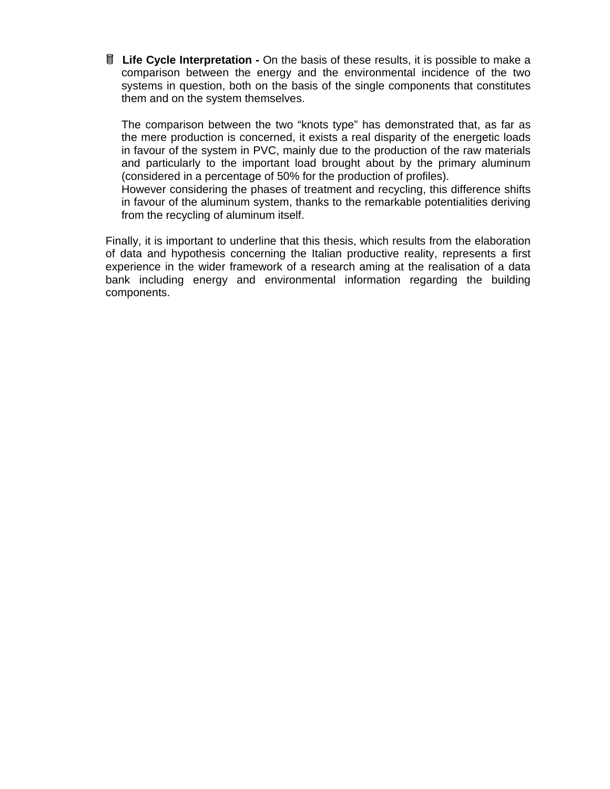**If Life Cycle Interpretation -** On the basis of these results, it is possible to make a comparison between the energy and the environmental incidence of the two systems in question, both on the basis of the single components that constitutes them and on the system themselves.

The comparison between the two "knots type" has demonstrated that, as far as the mere production is concerned, it exists a real disparity of the energetic loads in favour of the system in PVC, mainly due to the production of the raw materials and particularly to the important load brought about by the primary aluminum (considered in a percentage of 50% for the production of profiles).

However considering the phases of treatment and recycling, this difference shifts in favour of the aluminum system, thanks to the remarkable potentialities deriving from the recycling of aluminum itself.

Finally, it is important to underline that this thesis, which results from the elaboration of data and hypothesis concerning the Italian productive reality, represents a first experience in the wider framework of a research aming at the realisation of a data bank including energy and environmental information regarding the building components.